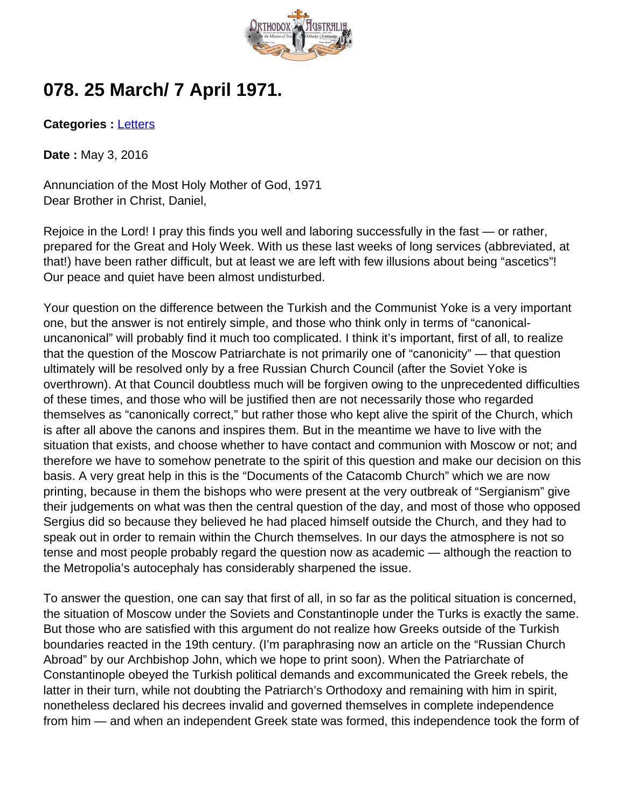

## **078. 25 March/ 7 April 1971.**

**Categories :** [Letters](http://orthodoxaustralia.org/category/letters/)

**Date :** May 3, 2016

Annunciation of the Most Holy Mother of God, 1971 Dear Brother in Christ, Daniel,

Rejoice in the Lord! I pray this finds you well and laboring successfully in the fast — or rather, prepared for the Great and Holy Week. With us these last weeks of long services (abbreviated, at that!) have been rather difficult, but at least we are left with few illusions about being "ascetics"! Our peace and quiet have been almost undisturbed.

Your question on the difference between the Turkish and the Communist Yoke is a very important one, but the answer is not entirely simple, and those who think only in terms of "canonicaluncanonical" will probably find it much too complicated. I think it's important, first of all, to realize that the question of the Moscow Patriarchate is not primarily one of "canonicity" — that question ultimately will be resolved only by a free Russian Church Council (after the Soviet Yoke is overthrown). At that Council doubtless much will be forgiven owing to the unprecedented difficulties of these times, and those who will be justified then are not necessarily those who regarded themselves as "canonically correct," but rather those who kept alive the spirit of the Church, which is after all above the canons and inspires them. But in the meantime we have to live with the situation that exists, and choose whether to have contact and communion with Moscow or not; and therefore we have to somehow penetrate to the spirit of this question and make our decision on this basis. A very great help in this is the "Documents of the Catacomb Church" which we are now printing, because in them the bishops who were present at the very outbreak of "Sergianism" give their judgements on what was then the central question of the day, and most of those who opposed Sergius did so because they believed he had placed himself outside the Church, and they had to speak out in order to remain within the Church themselves. In our days the atmosphere is not so tense and most people probably regard the question now as academic — although the reaction to the Metropolia's autocephaly has considerably sharpened the issue.

To answer the question, one can say that first of all, in so far as the political situation is concerned, the situation of Moscow under the Soviets and Constantinople under the Turks is exactly the same. But those who are satisfied with this argument do not realize how Greeks outside of the Turkish boundaries reacted in the 19th century. (I'm paraphrasing now an article on the "Russian Church Abroad" by our Archbishop John, which we hope to print soon). When the Patriarchate of Constantinople obeyed the Turkish political demands and excommunicated the Greek rebels, the latter in their turn, while not doubting the Patriarch's Orthodoxy and remaining with him in spirit, nonetheless declared his decrees invalid and governed themselves in complete independence from him — and when an independent Greek state was formed, this independence took the form of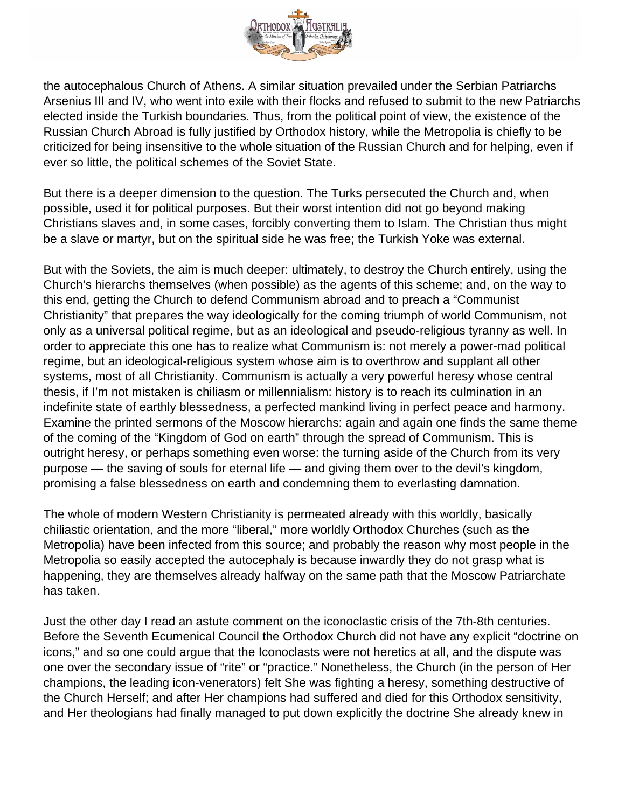

the autocephalous Church of Athens. A similar situation prevailed under the Serbian Patriarchs Arsenius III and IV, who went into exile with their flocks and refused to submit to the new Patriarchs elected inside the Turkish boundaries. Thus, from the political point of view, the existence of the Russian Church Abroad is fully justified by Orthodox history, while the Metropolia is chiefly to be criticized for being insensitive to the whole situation of the Russian Church and for helping, even if ever so little, the political schemes of the Soviet State.

But there is a deeper dimension to the question. The Turks persecuted the Church and, when possible, used it for political purposes. But their worst intention did not go beyond making Christians slaves and, in some cases, forcibly converting them to Islam. The Christian thus might be a slave or martyr, but on the spiritual side he was free; the Turkish Yoke was external.

But with the Soviets, the aim is much deeper: ultimately, to destroy the Church entirely, using the Church's hierarchs themselves (when possible) as the agents of this scheme; and, on the way to this end, getting the Church to defend Communism abroad and to preach a "Communist Christianity" that prepares the way ideologically for the coming triumph of world Communism, not only as a universal political regime, but as an ideological and pseudo-religious tyranny as well. In order to appreciate this one has to realize what Communism is: not merely a power-mad political regime, but an ideological-religious system whose aim is to overthrow and supplant all other systems, most of all Christianity. Communism is actually a very powerful heresy whose central thesis, if I'm not mistaken is chiliasm or millennialism: history is to reach its culmination in an indefinite state of earthly blessedness, a perfected mankind living in perfect peace and harmony. Examine the printed sermons of the Moscow hierarchs: again and again one finds the same theme of the coming of the "Kingdom of God on earth" through the spread of Communism. This is outright heresy, or perhaps something even worse: the turning aside of the Church from its very purpose — the saving of souls for eternal life — and giving them over to the devil's kingdom, promising a false blessedness on earth and condemning them to everlasting damnation.

The whole of modern Western Christianity is permeated already with this worldly, basically chiliastic orientation, and the more "liberal," more worldly Orthodox Churches (such as the Metropolia) have been infected from this source; and probably the reason why most people in the Metropolia so easily accepted the autocephaly is because inwardly they do not grasp what is happening, they are themselves already halfway on the same path that the Moscow Patriarchate has taken.

Just the other day I read an astute comment on the iconoclastic crisis of the 7th-8th centuries. Before the Seventh Ecumenical Council the Orthodox Church did not have any explicit "doctrine on icons," and so one could argue that the Iconoclasts were not heretics at all, and the dispute was one over the secondary issue of "rite" or "practice." Nonetheless, the Church (in the person of Her champions, the leading icon-venerators) felt She was fighting a heresy, something destructive of the Church Herself; and after Her champions had suffered and died for this Orthodox sensitivity, and Her theologians had finally managed to put down explicitly the doctrine She already knew in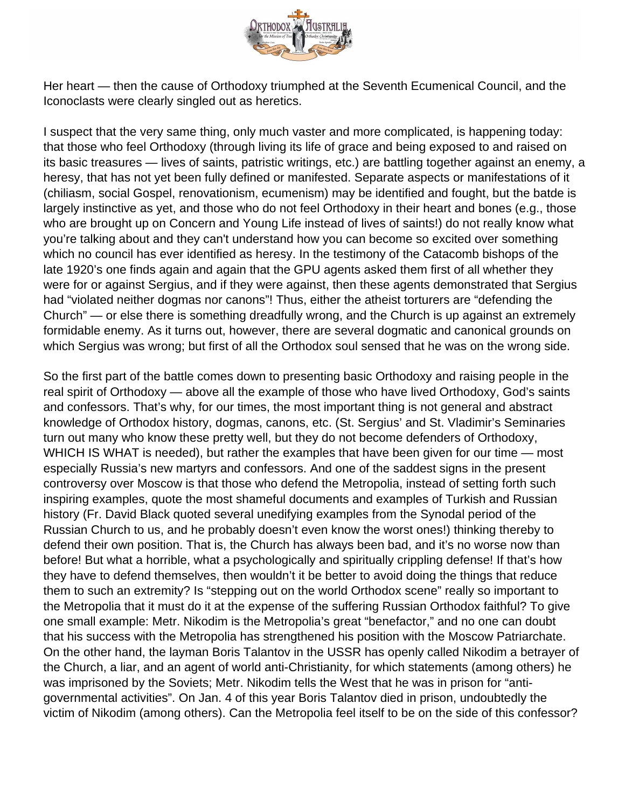

Her heart — then the cause of Orthodoxy triumphed at the Seventh Ecumenical Council, and the Iconoclasts were clearly singled out as heretics.

I suspect that the very same thing, only much vaster and more complicated, is happening today: that those who feel Orthodoxy (through living its life of grace and being exposed to and raised on its basic treasures — lives of saints, patristic writings, etc.) are battling together against an enemy, a heresy, that has not yet been fully defined or manifested. Separate aspects or manifestations of it (chiliasm, social Gospel, renovationism, ecumenism) may be identified and fought, but the batde is largely instinctive as yet, and those who do not feel Orthodoxy in their heart and bones (e.g., those who are brought up on Concern and Young Life instead of lives of saints!) do not really know what you're talking about and they can't understand how you can become so excited over something which no council has ever identified as heresy. In the testimony of the Catacomb bishops of the late 1920's one finds again and again that the GPU agents asked them first of all whether they were for or against Sergius, and if they were against, then these agents demonstrated that Sergius had "violated neither dogmas nor canons"! Thus, either the atheist torturers are "defending the Church" — or else there is something dreadfully wrong, and the Church is up against an extremely formidable enemy. As it turns out, however, there are several dogmatic and canonical grounds on which Sergius was wrong; but first of all the Orthodox soul sensed that he was on the wrong side.

So the first part of the battle comes down to presenting basic Orthodoxy and raising people in the real spirit of Orthodoxy — above all the example of those who have lived Orthodoxy, God's saints and confessors. That's why, for our times, the most important thing is not general and abstract knowledge of Orthodox history, dogmas, canons, etc. (St. Sergius' and St. Vladimir's Seminaries turn out many who know these pretty well, but they do not become defenders of Orthodoxy, WHICH IS WHAT is needed), but rather the examples that have been given for our time — most especially Russia's new martyrs and confessors. And one of the saddest signs in the present controversy over Moscow is that those who defend the Metropolia, instead of setting forth such inspiring examples, quote the most shameful documents and examples of Turkish and Russian history (Fr. David Black quoted several unedifying examples from the Synodal period of the Russian Church to us, and he probably doesn't even know the worst ones!) thinking thereby to defend their own position. That is, the Church has always been bad, and it's no worse now than before! But what a horrible, what a psychologically and spiritually crippling defense! If that's how they have to defend themselves, then wouldn't it be better to avoid doing the things that reduce them to such an extremity? Is "stepping out on the world Orthodox scene" really so important to the Metropolia that it must do it at the expense of the suffering Russian Orthodox faithful? To give one small example: Metr. Nikodim is the Metropolia's great "benefactor," and no one can doubt that his success with the Metropolia has strengthened his position with the Moscow Patriarchate. On the other hand, the layman Boris Talantov in the USSR has openly called Nikodim a betrayer of the Church, a liar, and an agent of world anti-Christianity, for which statements (among others) he was imprisoned by the Soviets; Metr. Nikodim tells the West that he was in prison for "antigovernmental activities". On Jan. 4 of this year Boris Talantov died in prison, undoubtedly the victim of Nikodim (among others). Can the Metropolia feel itself to be on the side of this confessor?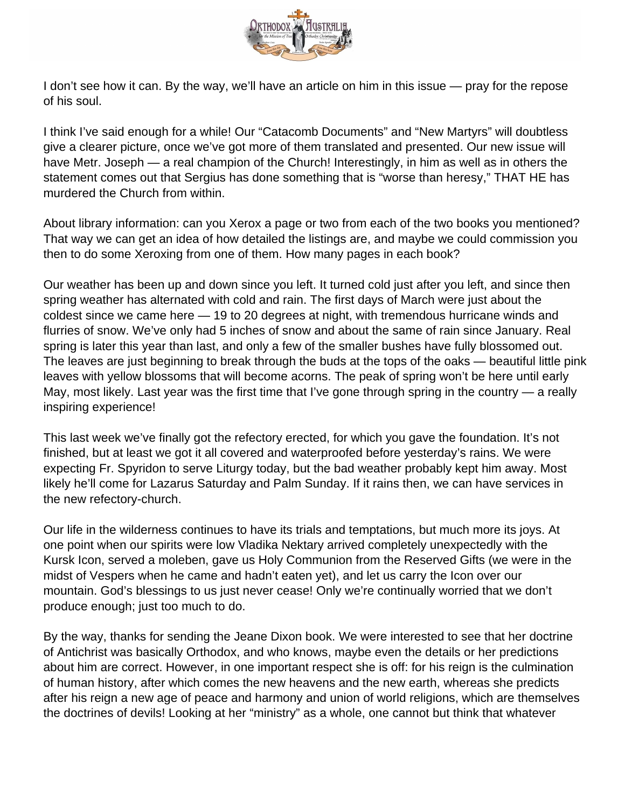

I don't see how it can. By the way, we'll have an article on him in this issue — pray for the repose of his soul.

I think I've said enough for a while! Our "Catacomb Documents" and "New Martyrs" will doubtless give a clearer picture, once we've got more of them translated and presented. Our new issue will have Metr. Joseph — a real champion of the Church! Interestingly, in him as well as in others the statement comes out that Sergius has done something that is "worse than heresy," THAT HE has murdered the Church from within.

About library information: can you Xerox a page or two from each of the two books you mentioned? That way we can get an idea of how detailed the listings are, and maybe we could commission you then to do some Xeroxing from one of them. How many pages in each book?

Our weather has been up and down since you left. It turned cold just after you left, and since then spring weather has alternated with cold and rain. The first days of March were just about the coldest since we came here — 19 to 20 degrees at night, with tremendous hurricane winds and flurries of snow. We've only had 5 inches of snow and about the same of rain since January. Real spring is later this year than last, and only a few of the smaller bushes have fully blossomed out. The leaves are just beginning to break through the buds at the tops of the oaks — beautiful little pink leaves with yellow blossoms that will become acorns. The peak of spring won't be here until early May, most likely. Last year was the first time that I've gone through spring in the country — a really inspiring experience!

This last week we've finally got the refectory erected, for which you gave the foundation. It's not finished, but at least we got it all covered and waterproofed before yesterday's rains. We were expecting Fr. Spyridon to serve Liturgy today, but the bad weather probably kept him away. Most likely he'll come for Lazarus Saturday and Palm Sunday. If it rains then, we can have services in the new refectory-church.

Our life in the wilderness continues to have its trials and temptations, but much more its joys. At one point when our spirits were low Vladika Nektary arrived completely unexpectedly with the Kursk Icon, served a moleben, gave us Holy Communion from the Reserved Gifts (we were in the midst of Vespers when he came and hadn't eaten yet), and let us carry the Icon over our mountain. God's blessings to us just never cease! Only we're continually worried that we don't produce enough; just too much to do.

By the way, thanks for sending the Jeane Dixon book. We were interested to see that her doctrine of Antichrist was basically Orthodox, and who knows, maybe even the details or her predictions about him are correct. However, in one important respect she is off: for his reign is the culmination of human history, after which comes the new heavens and the new earth, whereas she predicts after his reign a new age of peace and harmony and union of world religions, which are themselves the doctrines of devils! Looking at her "ministry" as a whole, one cannot but think that whatever